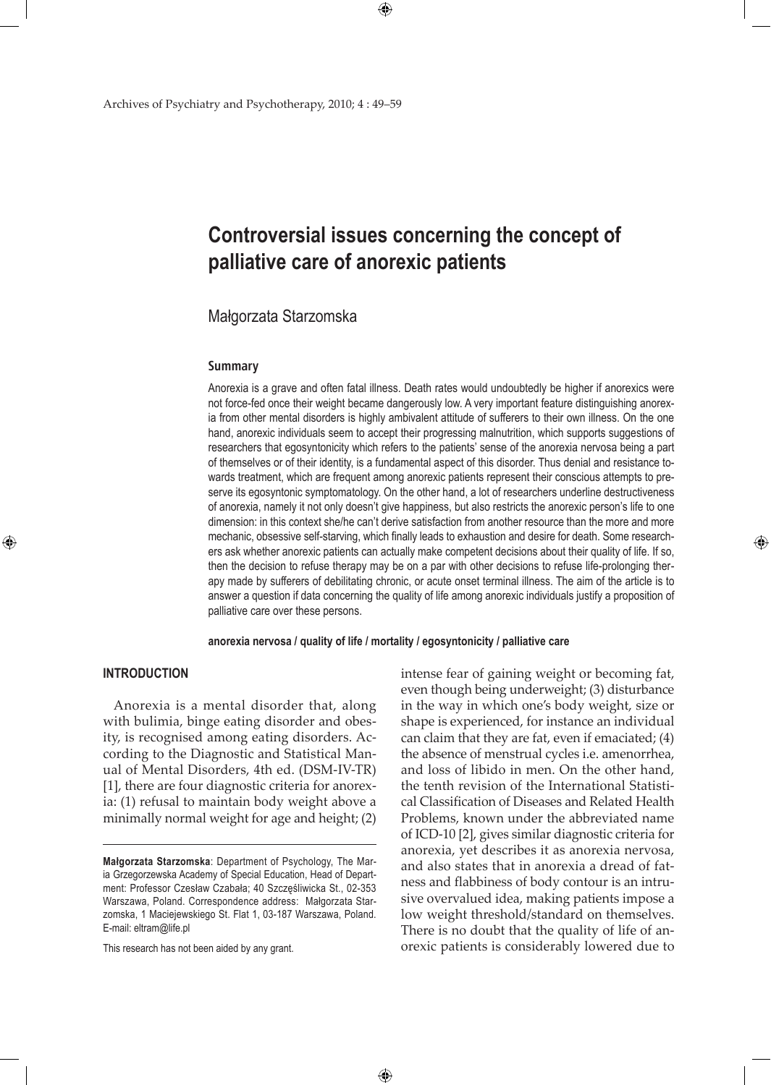# **Controversial issues concerning the concept of palliative care of anorexic patients**

# Małgorzata Starzomska

#### **Summary**

Anorexia is a grave and often fatal illness. Death rates would undoubtedly be higher if anorexics were not force-fed once their weight became dangerously low. A very important feature distinguishing anorexia from other mental disorders is highly ambivalent attitude of sufferers to their own illness. On the one hand, anorexic individuals seem to accept their progressing malnutrition, which supports suggestions of researchers that egosyntonicity which refers to the patients' sense of the anorexia nervosa being a part of themselves or of their identity, is a fundamental aspect of this disorder. Thus denial and resistance towards treatment, which are frequent among anorexic patients represent their conscious attempts to preserve its egosyntonic symptomatology. On the other hand, a lot of researchers underline destructiveness of anorexia, namely it not only doesn't give happiness, but also restricts the anorexic person's life to one dimension: in this context she/he can't derive satisfaction from another resource than the more and more mechanic, obsessive self-starving, which finally leads to exhaustion and desire for death. Some researchers ask whether anorexic patients can actually make competent decisions about their quality of life. If so, then the decision to refuse therapy may be on a par with other decisions to refuse life-prolonging therapy made by sufferers of debilitating chronic, or acute onset terminal illness. The aim of the article is to answer a question if data concerning the quality of life among anorexic individuals justify a proposition of palliative care over these persons.

**anorexia nervosa / quality of life / mortality / egosyntonicity / palliative care**

 $\bigoplus$ 

## **INTRODUCTION**

⊕

Anorexia is a mental disorder that, along with bulimia, binge eating disorder and obesity, is recognised among eating disorders. According to the Diagnostic and Statistical Manual of Mental Disorders, 4th ed. (DSM-IV-TR) [1], there are four diagnostic criteria for anorexia: (1) refusal to maintain body weight above a minimally normal weight for age and height; (2)

This research has not been aided by any grant.

intense fear of gaining weight or becoming fat, even though being underweight; (3) disturbance in the way in which one's body weight, size or shape is experienced, for instance an individual can claim that they are fat, even if emaciated; (4) the absence of menstrual cycles i.e. amenorrhea, and loss of libido in men. On the other hand, the tenth revision of the International Statistical Classification of Diseases and Related Health Problems, known under the abbreviated name of ICD-10 [2], gives similar diagnostic criteria for anorexia, yet describes it as anorexia nervosa, and also states that in anorexia a dread of fatness and flabbiness of body contour is an intrusive overvalued idea, making patients impose a low weight threshold/standard on themselves. There is no doubt that the quality of life of anorexic patients is considerably lowered due to

**Małgorzata Starzomska**: Department of Psychology, The Maria Grzegorzewska Academy of Special Education, Head of Department: Professor Czesław Czabała; 40 Szczęśliwicka St., 02-353 Warszawa, Poland. Correspondence address: Małgorzata Starzomska, 1 Maciejewskiego St. Flat 1, 03-187 Warszawa, Poland. E-mail: eltram@life.pl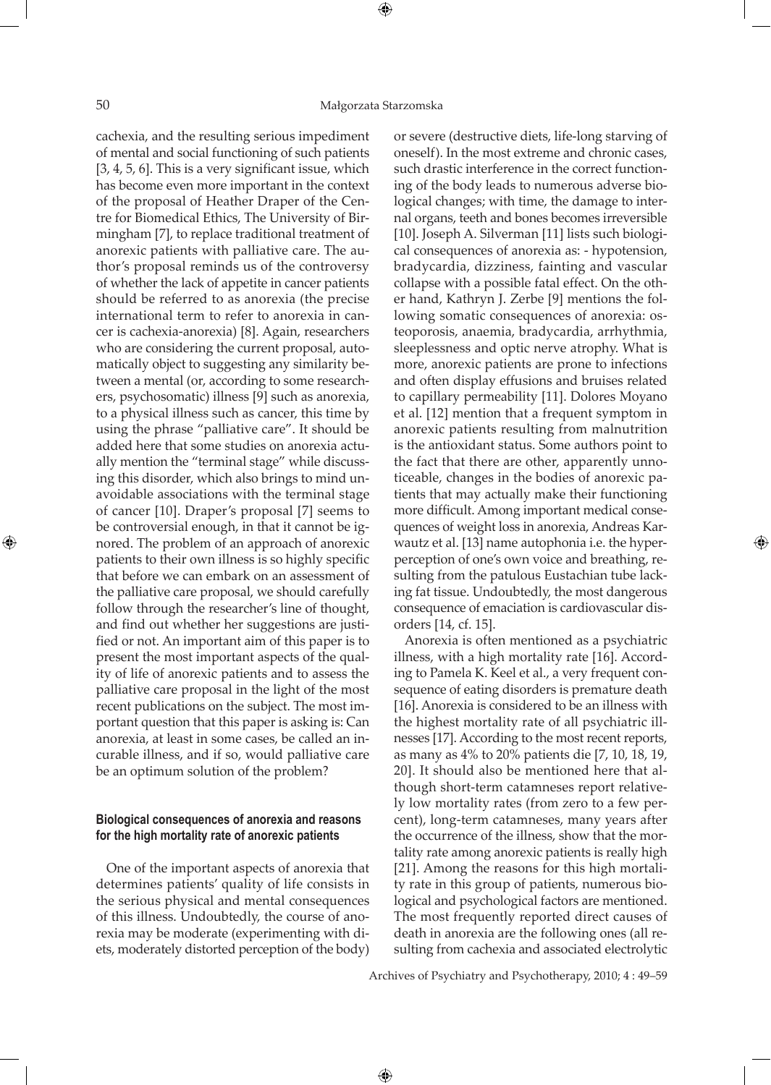⊕

cachexia, and the resulting serious impediment of mental and social functioning of such patients [3, 4, 5, 6]. This is a very significant issue, which has become even more important in the context of the proposal of Heather Draper of the Centre for Biomedical Ethics, The University of Birmingham [7], to replace traditional treatment of anorexic patients with palliative care. The author's proposal reminds us of the controversy of whether the lack of appetite in cancer patients should be referred to as anorexia (the precise international term to refer to anorexia in cancer is cachexia-anorexia) [8]. Again, researchers who are considering the current proposal, automatically object to suggesting any similarity between a mental (or, according to some researchers, psychosomatic) illness [9] such as anorexia, to a physical illness such as cancer, this time by using the phrase "palliative care". It should be added here that some studies on anorexia actually mention the "terminal stage" while discussing this disorder, which also brings to mind unavoidable associations with the terminal stage of cancer [10]. Draper's proposal [7] seems to be controversial enough, in that it cannot be ignored. The problem of an approach of anorexic patients to their own illness is so highly specific that before we can embark on an assessment of the palliative care proposal, we should carefully follow through the researcher's line of thought, and find out whether her suggestions are justified or not. An important aim of this paper is to present the most important aspects of the quality of life of anorexic patients and to assess the palliative care proposal in the light of the most recent publications on the subject. The most important question that this paper is asking is: Can anorexia, at least in some cases, be called an incurable illness, and if so, would palliative care be an optimum solution of the problem?

# **Biological consequences of anorexia and reasons for the high mortality rate of anorexic patients**

One of the important aspects of anorexia that determines patients' quality of life consists in the serious physical and mental consequences of this illness. Undoubtedly, the course of anorexia may be moderate (experimenting with diets, moderately distorted perception of the body) or severe (destructive diets, life-long starving of oneself). In the most extreme and chronic cases, such drastic interference in the correct functioning of the body leads to numerous adverse biological changes; with time, the damage to internal organs, teeth and bones becomes irreversible [10]. Joseph A. Silverman [11] lists such biological consequences of anorexia as: - hypotension, bradycardia, dizziness, fainting and vascular collapse with a possible fatal effect. On the other hand, Kathryn J. Zerbe [9] mentions the following somatic consequences of anorexia: osteoporosis, anaemia, bradycardia, arrhythmia, sleeplessness and optic nerve atrophy. What is more, anorexic patients are prone to infections and often display effusions and bruises related to capillary permeability [11]. Dolores Moyano et al. [12] mention that a frequent symptom in anorexic patients resulting from malnutrition is the antioxidant status. Some authors point to the fact that there are other, apparently unnoticeable, changes in the bodies of anorexic patients that may actually make their functioning more difficult. Among important medical consequences of weight loss in anorexia, Andreas Karwautz et al. [13] name autophonia i.e. the hyperperception of one's own voice and breathing, resulting from the patulous Eustachian tube lacking fat tissue. Undoubtedly, the most dangerous consequence of emaciation is cardiovascular disorders [14, cf. 15].

Anorexia is often mentioned as a psychiatric illness, with a high mortality rate [16]. According to Pamela K. Keel et al., a very frequent consequence of eating disorders is premature death [16]. Anorexia is considered to be an illness with the highest mortality rate of all psychiatric illnesses [17]. According to the most recent reports, as many as 4% to 20% patients die [7, 10, 18, 19, 20]. It should also be mentioned here that although short-term catamneses report relatively low mortality rates (from zero to a few percent), long-term catamneses, many years after the occurrence of the illness, show that the mortality rate among anorexic patients is really high [21]. Among the reasons for this high mortality rate in this group of patients, numerous biological and psychological factors are mentioned. The most frequently reported direct causes of death in anorexia are the following ones (all resulting from cachexia and associated electrolytic

Archives of Psychiatry and Psychotherapy, 2010; 4 : 49–59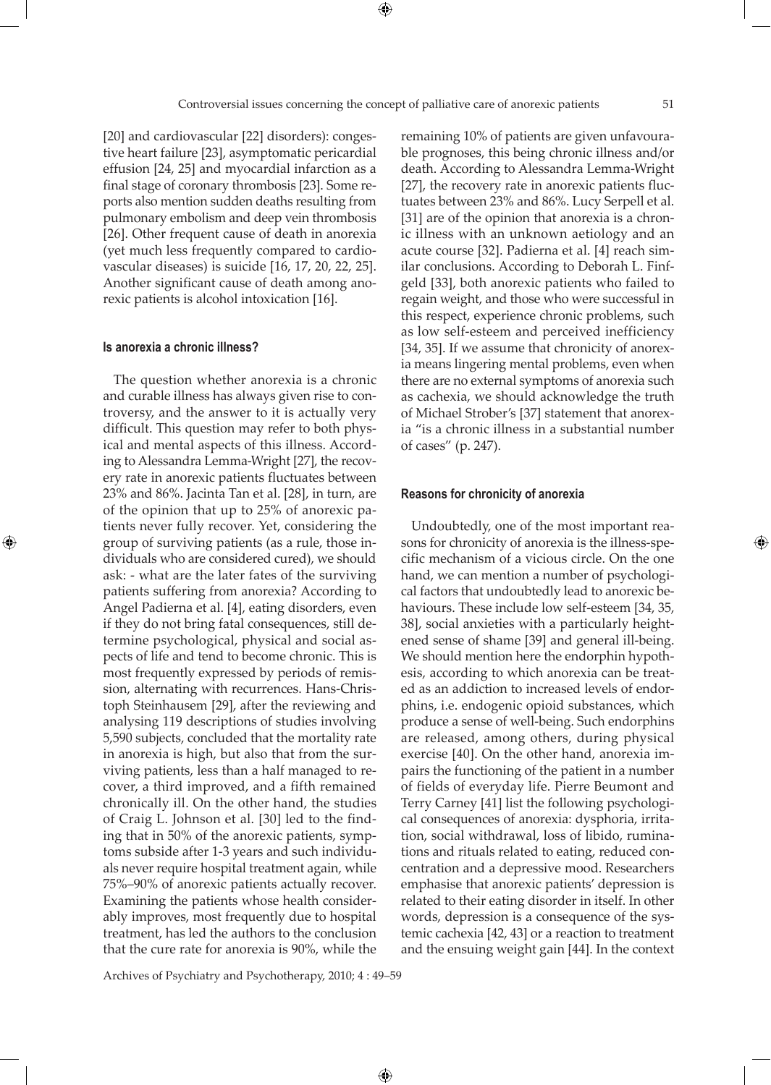[20] and cardiovascular [22] disorders): congestive heart failure [23], asymptomatic pericardial effusion [24, 25] and myocardial infarction as a final stage of coronary thrombosis [23]. Some reports also mention sudden deaths resulting from pulmonary embolism and deep vein thrombosis [26]. Other frequent cause of death in anorexia (yet much less frequently compared to cardiovascular diseases) is suicide [16, 17, 20, 22, 25]. Another significant cause of death among anorexic patients is alcohol intoxication [16].

## **Is anorexia a chronic illness?**

⊕

The question whether anorexia is a chronic and curable illness has always given rise to controversy, and the answer to it is actually very difficult. This question may refer to both physical and mental aspects of this illness. According to Alessandra Lemma-Wright [27], the recovery rate in anorexic patients fluctuates between 23% and 86%. Jacinta Tan et al. [28], in turn, are of the opinion that up to 25% of anorexic patients never fully recover. Yet, considering the group of surviving patients (as a rule, those individuals who are considered cured), we should ask: - what are the later fates of the surviving patients suffering from anorexia? According to Angel Padierna et al. [4], eating disorders, even if they do not bring fatal consequences, still determine psychological, physical and social aspects of life and tend to become chronic. This is most frequently expressed by periods of remission, alternating with recurrences. Hans-Christoph Steinhausem [29], after the reviewing and analysing 119 descriptions of studies involving 5,590 subjects, concluded that the mortality rate in anorexia is high, but also that from the surviving patients, less than a half managed to recover, a third improved, and a fifth remained chronically ill. On the other hand, the studies of Craig L. Johnson et al. [30] led to the finding that in 50% of the anorexic patients, symptoms subside after 1-3 years and such individuals never require hospital treatment again, while 75%–90% of anorexic patients actually recover. Examining the patients whose health considerably improves, most frequently due to hospital treatment, has led the authors to the conclusion that the cure rate for anorexia is 90%, while the

remaining 10% of patients are given unfavourable prognoses, this being chronic illness and/or death. According to Alessandra Lemma-Wright [27], the recovery rate in anorexic patients fluctuates between 23% and 86%. Lucy Serpell et al. [31] are of the opinion that anorexia is a chronic illness with an unknown aetiology and an acute course [32]. Padierna et al. [4] reach similar conclusions. According to Deborah L. Finfgeld [33], both anorexic patients who failed to regain weight, and those who were successful in this respect, experience chronic problems, such as low self-esteem and perceived inefficiency [34, 35]. If we assume that chronicity of anorexia means lingering mental problems, even when there are no external symptoms of anorexia such as cachexia, we should acknowledge the truth of Michael Strober's [37] statement that anorexia "is a chronic illness in a substantial number of cases" (p. 247).

## **Reasons for chronicity of anorexia**

Undoubtedly, one of the most important reasons for chronicity of anorexia is the illness-specific mechanism of a vicious circle. On the one hand, we can mention a number of psychological factors that undoubtedly lead to anorexic behaviours. These include low self-esteem [34, 35, 38], social anxieties with a particularly heightened sense of shame [39] and general ill-being. We should mention here the endorphin hypothesis, according to which anorexia can be treated as an addiction to increased levels of endorphins, i.e. endogenic opioid substances, which produce a sense of well-being. Such endorphins are released, among others, during physical exercise [40]. On the other hand, anorexia impairs the functioning of the patient in a number of fields of everyday life. Pierre Beumont and Terry Carney [41] list the following psychological consequences of anorexia: dysphoria, irritation, social withdrawal, loss of libido, ruminations and rituals related to eating, reduced concentration and a depressive mood. Researchers emphasise that anorexic patients' depression is related to their eating disorder in itself. In other words, depression is a consequence of the systemic cachexia [42, 43] or a reaction to treatment and the ensuing weight gain [44]. In the context

Archives of Psychiatry and Psychotherapy, 2010; 4 : 49–59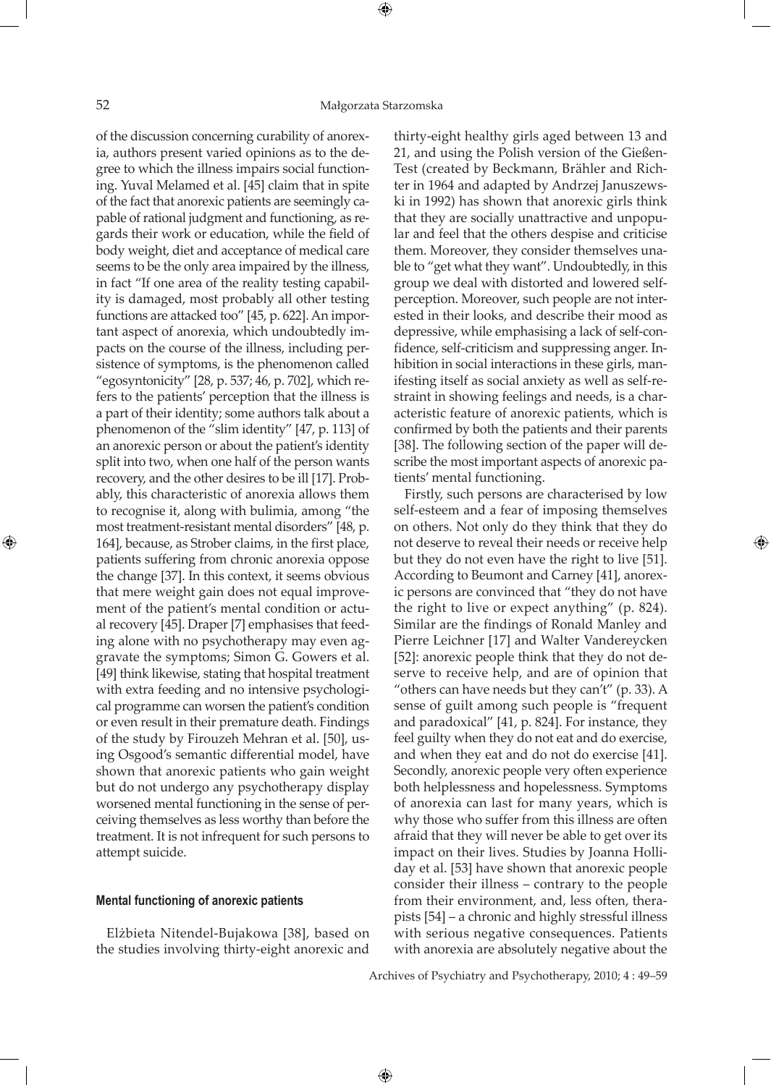⊕

⊕

of the discussion concerning curability of anorexia, authors present varied opinions as to the degree to which the illness impairs social functioning. Yuval Melamed et al. [45] claim that in spite of the fact that anorexic patients are seemingly capable of rational judgment and functioning, as regards their work or education, while the field of body weight, diet and acceptance of medical care seems to be the only area impaired by the illness, in fact "If one area of the reality testing capability is damaged, most probably all other testing functions are attacked too" [45, p. 622]. An important aspect of anorexia, which undoubtedly impacts on the course of the illness, including persistence of symptoms, is the phenomenon called "egosyntonicity" [28, p. 537; 46, p. 702], which refers to the patients' perception that the illness is a part of their identity; some authors talk about a phenomenon of the "slim identity" [47, p. 113] of an anorexic person or about the patient's identity split into two, when one half of the person wants recovery, and the other desires to be ill [17]. Probably, this characteristic of anorexia allows them to recognise it, along with bulimia, among "the most treatment-resistant mental disorders" [48, p. 164], because, as Strober claims, in the first place, patients suffering from chronic anorexia oppose the change [37]. In this context, it seems obvious that mere weight gain does not equal improvement of the patient's mental condition or actual recovery [45]. Draper [7] emphasises that feeding alone with no psychotherapy may even aggravate the symptoms; Simon G. Gowers et al. [49] think likewise, stating that hospital treatment with extra feeding and no intensive psychological programme can worsen the patient's condition or even result in their premature death. Findings of the study by Firouzeh Mehran et al. [50], using Osgood's semantic differential model, have shown that anorexic patients who gain weight but do not undergo any psychotherapy display worsened mental functioning in the sense of perceiving themselves as less worthy than before the treatment. It is not infrequent for such persons to attempt suicide.

## **Mental functioning of anorexic patients**

Elżbieta Nitendel-Bujakowa [38], based on the studies involving thirty-eight anorexic and

thirty-eight healthy girls aged between 13 and 21, and using the Polish version of the Gießen-Test (created by Beckmann, Brähler and Richter in 1964 and adapted by Andrzej Januszewski in 1992) has shown that anorexic girls think that they are socially unattractive and unpopular and feel that the others despise and criticise them. Moreover, they consider themselves unable to "get what they want". Undoubtedly, in this group we deal with distorted and lowered selfperception. Moreover, such people are not interested in their looks, and describe their mood as depressive, while emphasising a lack of self-confidence, self-criticism and suppressing anger. Inhibition in social interactions in these girls, manifesting itself as social anxiety as well as self-restraint in showing feelings and needs, is a characteristic feature of anorexic patients, which is confirmed by both the patients and their parents [38]. The following section of the paper will describe the most important aspects of anorexic patients' mental functioning.

Firstly, such persons are characterised by low self-esteem and a fear of imposing themselves on others. Not only do they think that they do not deserve to reveal their needs or receive help but they do not even have the right to live [51]. According to Beumont and Carney [41], anorexic persons are convinced that "they do not have the right to live or expect anything" (p. 824). Similar are the findings of Ronald Manley and Pierre Leichner [17] and Walter Vandereycken [52]: anorexic people think that they do not deserve to receive help, and are of opinion that "others can have needs but they can't" (p. 33). A sense of guilt among such people is "frequent and paradoxical" [41, p. 824]. For instance, they feel guilty when they do not eat and do exercise, and when they eat and do not do exercise [41]. Secondly, anorexic people very often experience both helplessness and hopelessness. Symptoms of anorexia can last for many years, which is why those who suffer from this illness are often afraid that they will never be able to get over its impact on their lives. Studies by Joanna Holliday et al. [53] have shown that anorexic people consider their illness – contrary to the people from their environment, and, less often, therapists [54] – a chronic and highly stressful illness with serious negative consequences. Patients with anorexia are absolutely negative about the

⊕

Archives of Psychiatry and Psychotherapy, 2010; 4 : 49–59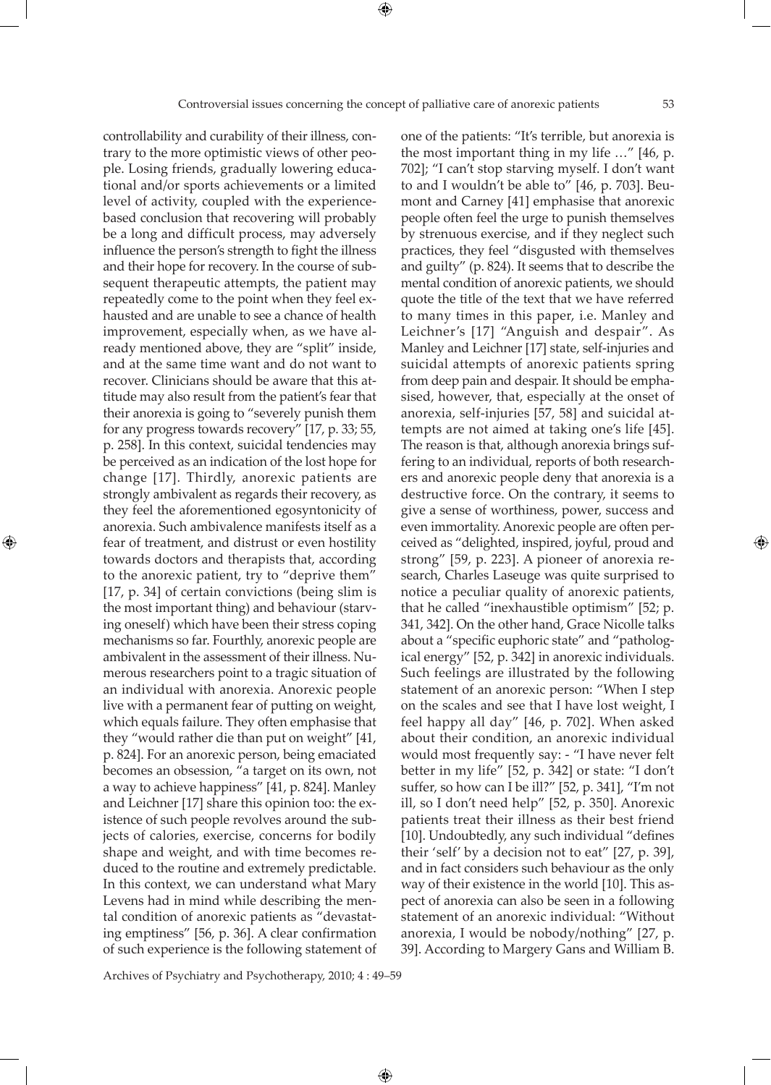controllability and curability of their illness, contrary to the more optimistic views of other people. Losing friends, gradually lowering educational and/or sports achievements or a limited level of activity, coupled with the experiencebased conclusion that recovering will probably be a long and difficult process, may adversely influence the person's strength to fight the illness and their hope for recovery. In the course of subsequent therapeutic attempts, the patient may repeatedly come to the point when they feel exhausted and are unable to see a chance of health improvement, especially when, as we have already mentioned above, they are "split" inside, and at the same time want and do not want to recover. Clinicians should be aware that this attitude may also result from the patient's fear that their anorexia is going to "severely punish them for any progress towards recovery" [17, p. 33; 55, p. 258]. In this context, suicidal tendencies may be perceived as an indication of the lost hope for change [17]. Thirdly, anorexic patients are strongly ambivalent as regards their recovery, as they feel the aforementioned egosyntonicity of anorexia. Such ambivalence manifests itself as a fear of treatment, and distrust or even hostility towards doctors and therapists that, according to the anorexic patient, try to "deprive them" [17, p. 34] of certain convictions (being slim is the most important thing) and behaviour (starving oneself) which have been their stress coping mechanisms so far. Fourthly, anorexic people are ambivalent in the assessment of their illness. Numerous researchers point to a tragic situation of an individual with anorexia. Anorexic people live with a permanent fear of putting on weight, which equals failure. They often emphasise that they "would rather die than put on weight" [41, p. 824]. For an anorexic person, being emaciated becomes an obsession, "a target on its own, not a way to achieve happiness" [41, p. 824]. Manley and Leichner [17] share this opinion too: the existence of such people revolves around the subjects of calories, exercise, concerns for bodily shape and weight, and with time becomes reduced to the routine and extremely predictable. In this context, we can understand what Mary Levens had in mind while describing the mental condition of anorexic patients as "devastating emptiness" [56, p. 36]. A clear confirmation of such experience is the following statement of

⊕

one of the patients: "It's terrible, but anorexia is the most important thing in my life …" [46, p. 702]; "I can't stop starving myself. I don't want to and I wouldn't be able to" [46, p. 703]. Beumont and Carney [41] emphasise that anorexic people often feel the urge to punish themselves by strenuous exercise, and if they neglect such practices, they feel "disgusted with themselves and guilty" (p. 824). It seems that to describe the mental condition of anorexic patients, we should quote the title of the text that we have referred to many times in this paper, i.e. Manley and Leichner's [17] "Anguish and despair". As Manley and Leichner [17] state, self-injuries and suicidal attempts of anorexic patients spring from deep pain and despair. It should be emphasised, however, that, especially at the onset of anorexia, self-injuries [57, 58] and suicidal attempts are not aimed at taking one's life [45]. The reason is that, although anorexia brings suffering to an individual, reports of both researchers and anorexic people deny that anorexia is a destructive force. On the contrary, it seems to give a sense of worthiness, power, success and even immortality. Anorexic people are often perceived as "delighted, inspired, joyful, proud and strong" [59, p. 223]. A pioneer of anorexia research, Charles Laseuge was quite surprised to notice a peculiar quality of anorexic patients, that he called "inexhaustible optimism" [52; p. 341, 342]. On the other hand, Grace Nicolle talks about a "specific euphoric state" and "pathological energy" [52, p. 342] in anorexic individuals. Such feelings are illustrated by the following statement of an anorexic person: "When I step on the scales and see that I have lost weight, I feel happy all day" [46, p. 702]. When asked about their condition, an anorexic individual would most frequently say: - "I have never felt better in my life" [52, p. 342] or state: "I don't suffer, so how can I be ill?" [52, p. 341], "I'm not ill, so I don't need help" [52, p. 350]. Anorexic patients treat their illness as their best friend [10]. Undoubtedly, any such individual "defines their 'self' by a decision not to eat" [27, p. 39], and in fact considers such behaviour as the only way of their existence in the world [10]. This aspect of anorexia can also be seen in a following statement of an anorexic individual: "Without anorexia, I would be nobody/nothing" [27, p. 39]. According to Margery Gans and William B.

Archives of Psychiatry and Psychotherapy, 2010; 4 : 49–59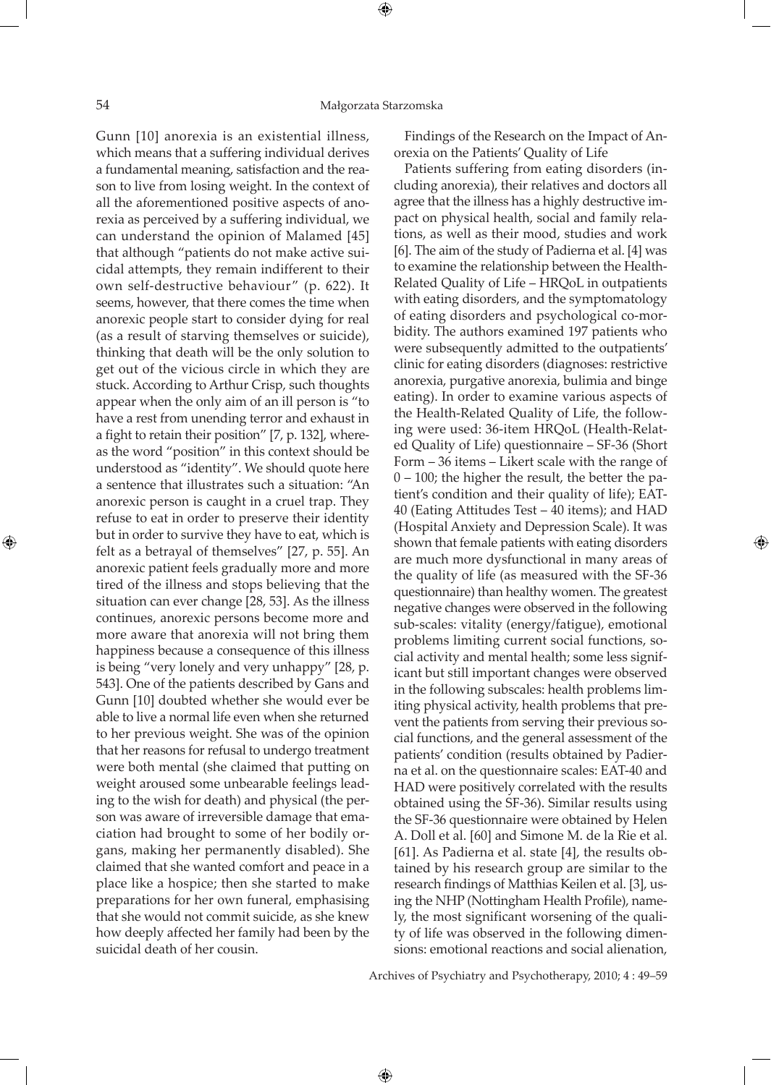Gunn [10] anorexia is an existential illness, which means that a suffering individual derives a fundamental meaning, satisfaction and the reason to live from losing weight. In the context of all the aforementioned positive aspects of anorexia as perceived by a suffering individual, we can understand the opinion of Malamed [45] that although "patients do not make active suicidal attempts, they remain indifferent to their own self-destructive behaviour" (p. 622). It seems, however, that there comes the time when anorexic people start to consider dying for real (as a result of starving themselves or suicide), thinking that death will be the only solution to get out of the vicious circle in which they are stuck. According to Arthur Crisp, such thoughts appear when the only aim of an ill person is "to have a rest from unending terror and exhaust in a fight to retain their position" [7, p. 132], whereas the word "position" in this context should be understood as "identity". We should quote here a sentence that illustrates such a situation: "An anorexic person is caught in a cruel trap. They refuse to eat in order to preserve their identity but in order to survive they have to eat, which is felt as a betrayal of themselves" [27, p. 55]. An anorexic patient feels gradually more and more tired of the illness and stops believing that the situation can ever change [28, 53]. As the illness continues, anorexic persons become more and more aware that anorexia will not bring them happiness because a consequence of this illness is being "very lonely and very unhappy" [28, p. 543]. One of the patients described by Gans and Gunn [10] doubted whether she would ever be able to live a normal life even when she returned to her previous weight. She was of the opinion that her reasons for refusal to undergo treatment were both mental (she claimed that putting on weight aroused some unbearable feelings leading to the wish for death) and physical (the person was aware of irreversible damage that emaciation had brought to some of her bodily organs, making her permanently disabled). She claimed that she wanted comfort and peace in a place like a hospice; then she started to make preparations for her own funeral, emphasising that she would not commit suicide, as she knew how deeply affected her family had been by the suicidal death of her cousin.

Findings of the Research on the Impact of Anorexia on the Patients' Quality of Life

Patients suffering from eating disorders (including anorexia), their relatives and doctors all agree that the illness has a highly destructive impact on physical health, social and family relations, as well as their mood, studies and work [6]. The aim of the study of Padierna et al. [4] was to examine the relationship between the Health-Related Quality of Life – HRQoL in outpatients with eating disorders, and the symptomatology of eating disorders and psychological co-morbidity. The authors examined 197 patients who were subsequently admitted to the outpatients' clinic for eating disorders (diagnoses: restrictive anorexia, purgative anorexia, bulimia and binge eating). In order to examine various aspects of the Health-Related Quality of Life, the following were used: 36-item HRQoL (Health-Related Quality of Life) questionnaire – SF-36 (Short Form – 36 items – Likert scale with the range of 0 – 100; the higher the result, the better the patient's condition and their quality of life); EAT-40 (Eating Attitudes Test – 40 items); and HAD (Hospital Anxiety and Depression Scale). It was shown that female patients with eating disorders are much more dysfunctional in many areas of the quality of life (as measured with the SF-36 questionnaire) than healthy women. The greatest negative changes were observed in the following sub-scales: vitality (energy/fatigue), emotional problems limiting current social functions, social activity and mental health; some less significant but still important changes were observed in the following subscales: health problems limiting physical activity, health problems that prevent the patients from serving their previous social functions, and the general assessment of the patients' condition (results obtained by Padierna et al. on the questionnaire scales: EAT-40 and HAD were positively correlated with the results obtained using the SF-36). Similar results using the SF-36 questionnaire were obtained by Helen A. Doll et al. [60] and Simone M. de la Rie et al. [61]. As Padierna et al. state [4], the results obtained by his research group are similar to the research findings of Matthias Keilen et al. [3], using the NHP (Nottingham Health Profile), namely, the most significant worsening of the quality of life was observed in the following dimensions: emotional reactions and social alienation,

Archives of Psychiatry and Psychotherapy, 2010; 4 : 49–59

 $\bigoplus$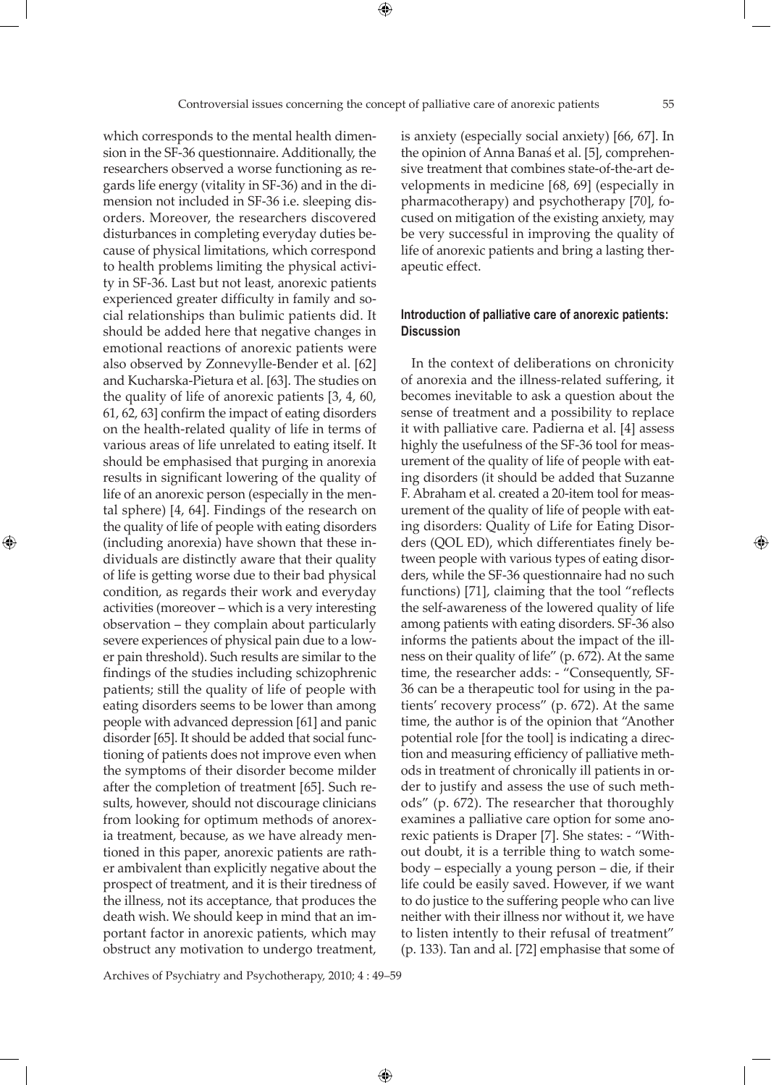which corresponds to the mental health dimension in the SF-36 questionnaire. Additionally, the researchers observed a worse functioning as regards life energy (vitality in SF-36) and in the dimension not included in SF-36 i.e. sleeping disorders. Moreover, the researchers discovered disturbances in completing everyday duties because of physical limitations, which correspond to health problems limiting the physical activity in SF-36. Last but not least, anorexic patients experienced greater difficulty in family and social relationships than bulimic patients did. It should be added here that negative changes in emotional reactions of anorexic patients were also observed by Zonnevylle-Bender et al. [62] and Kucharska-Pietura et al. [63]. The studies on the quality of life of anorexic patients [3, 4, 60, 61, 62, 63] confirm the impact of eating disorders on the health-related quality of life in terms of various areas of life unrelated to eating itself. It should be emphasised that purging in anorexia results in significant lowering of the quality of life of an anorexic person (especially in the mental sphere) [4, 64]. Findings of the research on the quality of life of people with eating disorders (including anorexia) have shown that these individuals are distinctly aware that their quality of life is getting worse due to their bad physical condition, as regards their work and everyday activities (moreover – which is a very interesting observation – they complain about particularly severe experiences of physical pain due to a lower pain threshold). Such results are similar to the findings of the studies including schizophrenic patients; still the quality of life of people with eating disorders seems to be lower than among people with advanced depression [61] and panic disorder [65]. It should be added that social functioning of patients does not improve even when the symptoms of their disorder become milder after the completion of treatment [65]. Such results, however, should not discourage clinicians from looking for optimum methods of anorexia treatment, because, as we have already mentioned in this paper, anorexic patients are rather ambivalent than explicitly negative about the prospect of treatment, and it is their tiredness of the illness, not its acceptance, that produces the death wish. We should keep in mind that an important factor in anorexic patients, which may obstruct any motivation to undergo treatment,

⊕

is anxiety (especially social anxiety) [66, 67]. In the opinion of Anna Banaś et al. [5], comprehensive treatment that combines state-of-the-art developments in medicine [68, 69] (especially in pharmacotherapy) and psychotherapy [70], focused on mitigation of the existing anxiety, may be very successful in improving the quality of life of anorexic patients and bring a lasting therapeutic effect.

## **Introduction of palliative care of anorexic patients: Discussion**

In the context of deliberations on chronicity of anorexia and the illness-related suffering, it becomes inevitable to ask a question about the sense of treatment and a possibility to replace it with palliative care. Padierna et al. [4] assess highly the usefulness of the SF-36 tool for measurement of the quality of life of people with eating disorders (it should be added that Suzanne F. Abraham et al. created a 20-item tool for measurement of the quality of life of people with eating disorders: Quality of Life for Eating Disorders (QOL ED), which differentiates finely between people with various types of eating disorders, while the SF-36 questionnaire had no such functions) [71], claiming that the tool "reflects the self-awareness of the lowered quality of life among patients with eating disorders. SF-36 also informs the patients about the impact of the illness on their quality of life" (p. 672). At the same time, the researcher adds: - "Consequently, SF-36 can be a therapeutic tool for using in the patients' recovery process" (p. 672). At the same time, the author is of the opinion that "Another potential role [for the tool] is indicating a direction and measuring efficiency of palliative methods in treatment of chronically ill patients in order to justify and assess the use of such methods" (p. 672). The researcher that thoroughly examines a palliative care option for some anorexic patients is Draper [7]. She states: - "Without doubt, it is a terrible thing to watch somebody – especially a young person – die, if their life could be easily saved. However, if we want to do justice to the suffering people who can live neither with their illness nor without it, we have to listen intently to their refusal of treatment" (p. 133). Tan and al. [72] emphasise that some of

Archives of Psychiatry and Psychotherapy, 2010; 4 : 49–59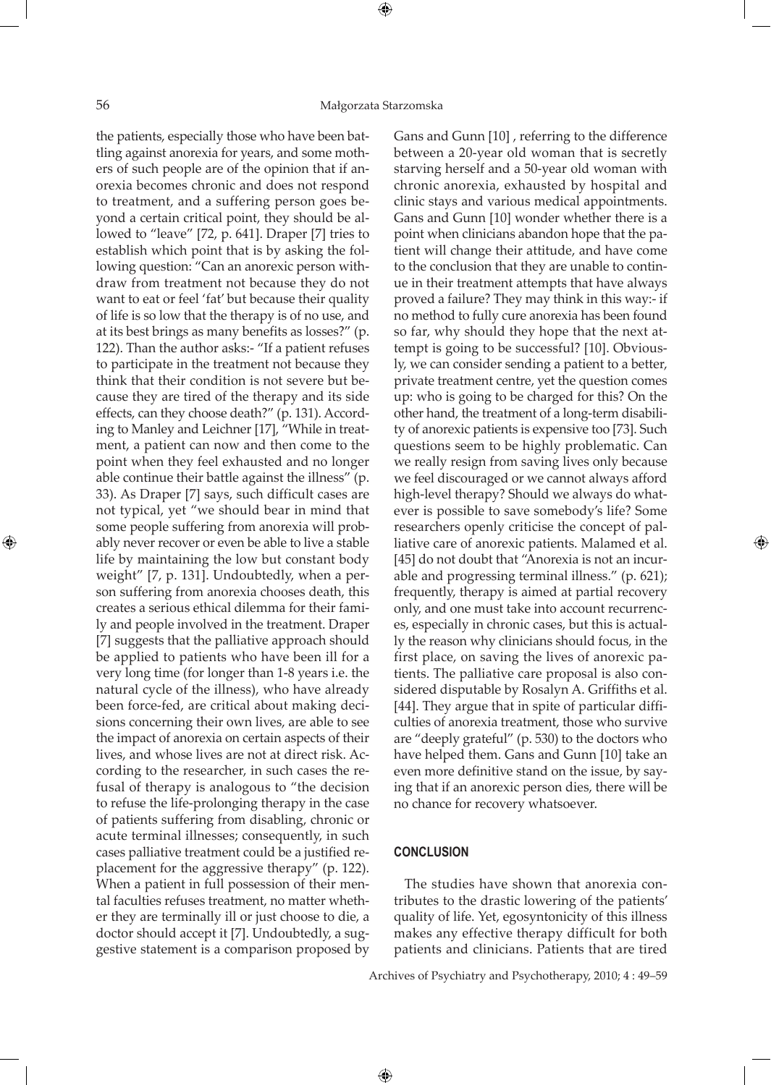⊕

⊕

the patients, especially those who have been battling against anorexia for years, and some mothers of such people are of the opinion that if anorexia becomes chronic and does not respond to treatment, and a suffering person goes beyond a certain critical point, they should be allowed to "leave" [72, p. 641]. Draper [7] tries to establish which point that is by asking the following question: "Can an anorexic person withdraw from treatment not because they do not want to eat or feel 'fat' but because their quality of life is so low that the therapy is of no use, and at its best brings as many benefits as losses?" (p. 122). Than the author asks:- "If a patient refuses to participate in the treatment not because they think that their condition is not severe but because they are tired of the therapy and its side effects, can they choose death?" (p. 131). According to Manley and Leichner [17], "While in treatment, a patient can now and then come to the point when they feel exhausted and no longer able continue their battle against the illness" (p. 33). As Draper [7] says, such difficult cases are not typical, yet "we should bear in mind that some people suffering from anorexia will probably never recover or even be able to live a stable life by maintaining the low but constant body weight" [7, p. 131]. Undoubtedly, when a person suffering from anorexia chooses death, this creates a serious ethical dilemma for their family and people involved in the treatment. Draper [7] suggests that the palliative approach should be applied to patients who have been ill for a very long time (for longer than 1-8 years i.e. the natural cycle of the illness), who have already been force-fed, are critical about making decisions concerning their own lives, are able to see the impact of anorexia on certain aspects of their lives, and whose lives are not at direct risk. According to the researcher, in such cases the refusal of therapy is analogous to "the decision to refuse the life-prolonging therapy in the case of patients suffering from disabling, chronic or acute terminal illnesses; consequently, in such cases palliative treatment could be a justified replacement for the aggressive therapy" (p. 122). When a patient in full possession of their mental faculties refuses treatment, no matter whether they are terminally ill or just choose to die, a doctor should accept it [7]. Undoubtedly, a suggestive statement is a comparison proposed by

Gans and Gunn [10] , referring to the difference between a 20-year old woman that is secretly starving herself and a 50-year old woman with chronic anorexia, exhausted by hospital and clinic stays and various medical appointments. Gans and Gunn [10] wonder whether there is a point when clinicians abandon hope that the patient will change their attitude, and have come to the conclusion that they are unable to continue in their treatment attempts that have always proved a failure? They may think in this way:- if no method to fully cure anorexia has been found so far, why should they hope that the next attempt is going to be successful? [10]. Obviously, we can consider sending a patient to a better, private treatment centre, yet the question comes up: who is going to be charged for this? On the other hand, the treatment of a long-term disability of anorexic patients is expensive too [73]. Such questions seem to be highly problematic. Can we really resign from saving lives only because we feel discouraged or we cannot always afford high-level therapy? Should we always do whatever is possible to save somebody's life? Some researchers openly criticise the concept of palliative care of anorexic patients. Malamed et al. [45] do not doubt that "Anorexia is not an incurable and progressing terminal illness." (p. 621); frequently, therapy is aimed at partial recovery only, and one must take into account recurrences, especially in chronic cases, but this is actually the reason why clinicians should focus, in the first place, on saving the lives of anorexic patients. The palliative care proposal is also considered disputable by Rosalyn A. Griffiths et al. [44]. They argue that in spite of particular difficulties of anorexia treatment, those who survive are "deeply grateful" (p. 530) to the doctors who have helped them. Gans and Gunn [10] take an even more definitive stand on the issue, by saying that if an anorexic person dies, there will be no chance for recovery whatsoever.

⊕

# **CONCLUSION**

 $\bigoplus$ 

The studies have shown that anorexia contributes to the drastic lowering of the patients' quality of life. Yet, egosyntonicity of this illness makes any effective therapy difficult for both patients and clinicians. Patients that are tired

Archives of Psychiatry and Psychotherapy, 2010; 4 : 49–59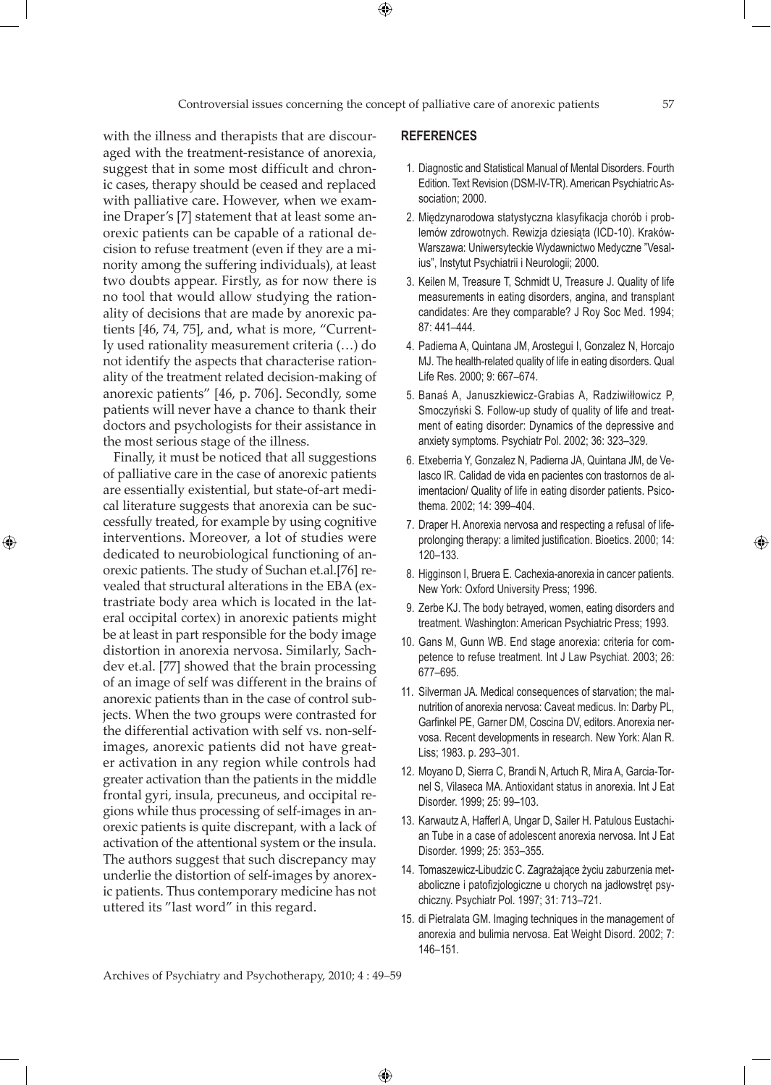$\bigoplus$ 

with the illness and therapists that are discouraged with the treatment-resistance of anorexia, suggest that in some most difficult and chronic cases, therapy should be ceased and replaced with palliative care. However, when we examine Draper's [7] statement that at least some anorexic patients can be capable of a rational decision to refuse treatment (even if they are a minority among the suffering individuals), at least two doubts appear. Firstly, as for now there is no tool that would allow studying the rationality of decisions that are made by anorexic patients [46, 74, 75], and, what is more, "Currently used rationality measurement criteria (…) do not identify the aspects that characterise rationality of the treatment related decision-making of anorexic patients" [46, p. 706]. Secondly, some patients will never have a chance to thank their doctors and psychologists for their assistance in the most serious stage of the illness.

Finally, it must be noticed that all suggestions of palliative care in the case of anorexic patients are essentially existential, but state-of-art medical literature suggests that anorexia can be successfully treated, for example by using cognitive interventions. Moreover, a lot of studies were dedicated to neurobiological functioning of anorexic patients. The study of Suchan et.al.[76] revealed that structural alterations in the EBA (extrastriate body area which is located in the lateral occipital cortex) in anorexic patients might be at least in part responsible for the body image distortion in anorexia nervosa. Similarly, Sachdev et.al. [77] showed that the brain processing of an image of self was different in the brains of anorexic patients than in the case of control subjects. When the two groups were contrasted for the differential activation with self vs. non-selfimages, anorexic patients did not have greater activation in any region while controls had greater activation than the patients in the middle frontal gyri, insula, precuneus, and occipital regions while thus processing of self-images in anorexic patients is quite discrepant, with a lack of activation of the attentional system or the insula. The authors suggest that such discrepancy may underlie the distortion of self-images by anorexic patients. Thus contemporary medicine has not uttered its "last word" in this regard.

⊕

## **REFERENCES**

- 1. Diagnostic and Statistical Manual of Mental Disorders. Fourth Edition. Text Revision (DSM-IV-TR). American Psychiatric Association; 2000.
- 2. Międzynarodowa statystyczna klasyfikacja chorób i problemów zdrowotnych. Rewizja dziesiąta (ICD-10). Kraków-Warszawa: Uniwersyteckie Wydawnictwo Medyczne "Vesalius", Instytut Psychiatrii i Neurologii; 2000.
- 3. Keilen M, Treasure T, Schmidt U, Treasure J. Quality of life measurements in eating disorders, angina, and transplant candidates: Are they comparable? J Roy Soc Med. 1994; 87: 441–444.
- 4. Padierna A, Quintana JM, Arostegui I, Gonzalez N, Horcajo MJ. The health-related quality of life in eating disorders. Qual Life Res. 2000; 9: 667–674.
- 5. Banaś A, Januszkiewicz-Grabias A, Radziwiłłowicz P, Smoczyński S. Follow-up study of quality of life and treatment of eating disorder: Dynamics of the depressive and anxiety symptoms. Psychiatr Pol. 2002; 36: 323–329.
- 6. Etxeberria Y, Gonzalez N, Padierna JA, Quintana JM, de Velasco IR. Calidad de vida en pacientes con trastornos de alimentacion/ Quality of life in eating disorder patients. Psicothema. 2002; 14: 399–404.
- 7. Draper H. Anorexia nervosa and respecting a refusal of lifeprolonging therapy: a limited justification. Bioetics. 2000; 14: 120–133.
- 8. Higginson I, Bruera E. Cachexia-anorexia in cancer patients. New York: Oxford University Press; 1996.
- 9. Zerbe KJ. The body betrayed, women, eating disorders and treatment. Washington: American Psychiatric Press; 1993.
- 10. Gans M, Gunn WB. End stage anorexia: criteria for competence to refuse treatment. Int J Law Psychiat. 2003; 26: 677–695.
- 11. Silverman JA. Medical consequences of starvation; the malnutrition of anorexia nervosa: Caveat medicus. In: Darby PL, Garfinkel PE, Garner DM, Coscina DV, editors. Anorexia nervosa. Recent developments in research. New York: Alan R. Liss; 1983. p. 293–301.
- 12. Moyano D, Sierra C, Brandi N, Artuch R, Mira A, Garcia-Tornel S, Vilaseca MA. Antioxidant status in anorexia. Int J Eat Disorder. 1999; 25: 99–103.
- 13. Karwautz A, Hafferl A, Ungar D, Sailer H. Patulous Eustachian Tube in a case of adolescent anorexia nervosa. Int J Eat Disorder. 1999; 25: 353–355.
- 14. Tomaszewicz-Libudzic C. Zagrażające życiu zaburzenia metaboliczne i patofizjologiczne u chorych na jadłowstręt psychiczny. Psychiatr Pol. 1997; 31: 713–721.
- 15. di Pietralata GM. Imaging techniques in the management of anorexia and bulimia nervosa. Eat Weight Disord. 2002; 7: 146–151.

Archives of Psychiatry and Psychotherapy, 2010; 4 : 49–59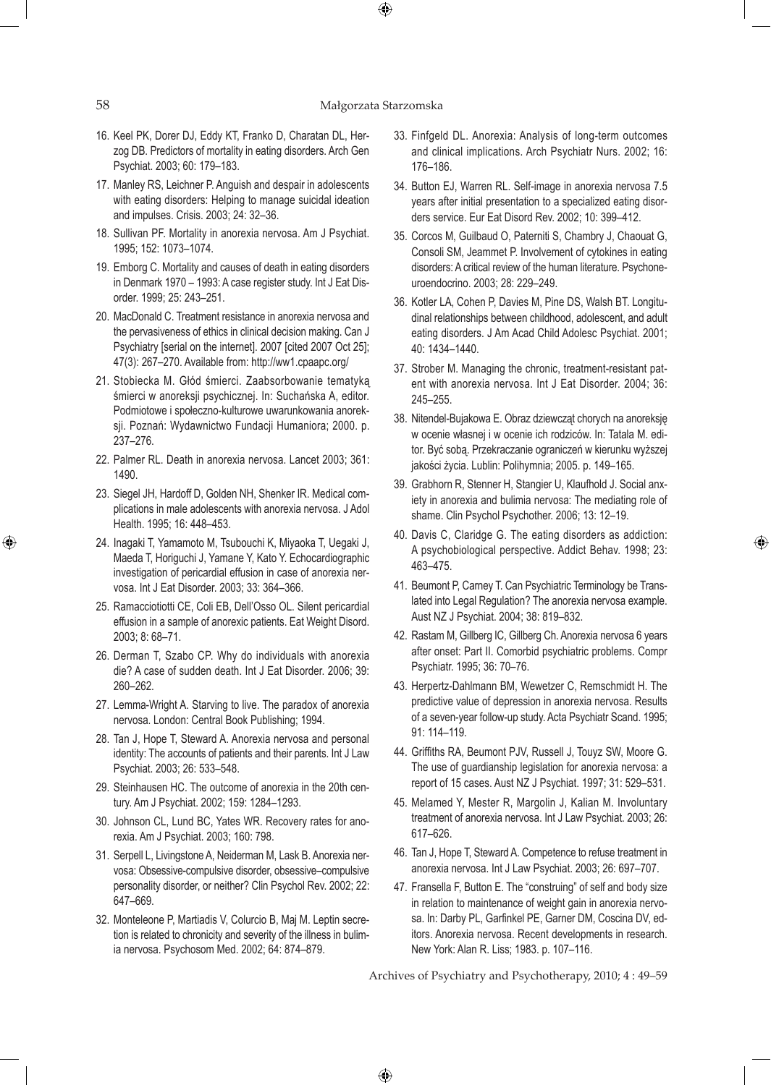## 58 Małgorzata Starzomska

 $\bigoplus$ 

- 16. Keel PK, Dorer DJ, Eddy KT, Franko D, Charatan DL, Herzog DB. Predictors of mortality in eating disorders. Arch Gen Psychiat. 2003; 60: 179–183.
- 17. Manley RS, Leichner P. Anguish and despair in adolescents with eating disorders: Helping to manage suicidal ideation and impulses. Crisis. 2003; 24: 32–36.
- 18. Sullivan PF. Mortality in anorexia nervosa. Am J Psychiat. 1995; 152: 1073–1074.
- 19. Emborg C. Mortality and causes of death in eating disorders in Denmark 1970 – 1993: A case register study. Int J Eat Disorder. 1999; 25: 243–251.
- 20. MacDonald C. Treatment resistance in anorexia nervosa and the pervasiveness of ethics in clinical decision making. Can J Psychiatry [serial on the internet]. 2007 [cited 2007 Oct 25]; 47(3): 267–270. Available from: http://ww1.cpaapc.org/
- 21. Stobiecka M. Głód śmierci. Zaabsorbowanie tematyką śmierci w anoreksji psychicznej. In: Suchańska A, editor. Podmiotowe i społeczno-kulturowe uwarunkowania anoreksji. Poznań: Wydawnictwo Fundacji Humaniora; 2000. p. 237–276.
- 22. Palmer RL. Death in anorexia nervosa. Lancet 2003; 361: 1490.
- 23. Siegel JH, Hardoff D, Golden NH, Shenker IR. Medical complications in male adolescents with anorexia nervosa. J Adol Health. 1995; 16: 448–453.
- 24. Inagaki T, Yamamoto M, Tsubouchi K, Miyaoka T, Uegaki J, Maeda T, Horiguchi J, Yamane Y, Kato Y. Echocardiographic investigation of pericardial effusion in case of anorexia nervosa. Int J Eat Disorder. 2003; 33: 364–366.
- 25. Ramacciotiotti CE, Coli EB, Dell'Osso OL. Silent pericardial effusion in a sample of anorexic patients. Eat Weight Disord. 2003; 8: 68–71.
- 26. Derman T, Szabo CP. Why do individuals with anorexia die? A case of sudden death. Int J Eat Disorder. 2006; 39: 260–262.
- 27. Lemma-Wright A. Starving to live. The paradox of anorexia nervosa. London: Central Book Publishing; 1994.
- 28. Tan J, Hope T, Steward A. Anorexia nervosa and personal identity: The accounts of patients and their parents. Int J Law Psychiat. 2003; 26: 533–548.
- 29. Steinhausen HC. The outcome of anorexia in the 20th century. Am J Psychiat. 2002; 159: 1284–1293.
- 30. Johnson CL, Lund BC, Yates WR. Recovery rates for anorexia. Am J Psychiat. 2003; 160: 798.
- 31. Serpell L, Livingstone A, Neiderman M, Lask B. Anorexia nervosa: Obsessive-compulsive disorder, obsessive–compulsive personality disorder, or neither? Clin Psychol Rev. 2002; 22: 647–669.
- 32. Monteleone P, Martiadis V, Colurcio B, Maj M. Leptin secretion is related to chronicity and severity of the illness in bulimia nervosa. Psychosom Med. 2002; 64: 874–879.
- 33. Finfgeld DL. Anorexia: Analysis of long-term outcomes and clinical implications. Arch Psychiatr Nurs. 2002; 16: 176–186.
- 34. Button EJ, Warren RL. Self-image in anorexia nervosa 7.5 years after initial presentation to a specialized eating disorders service. Eur Eat Disord Rev. 2002; 10: 399–412.
- 35. Corcos M, Guilbaud O, Paterniti S, Chambry J, Chaouat G, Consoli SM, Jeammet P. Involvement of cytokines in eating disorders: A critical review of the human literature. Psychoneuroendocrino. 2003; 28: 229–249.
- 36. Kotler LA, Cohen P, Davies M, Pine DS, Walsh BT. Longitudinal relationships between childhood, adolescent, and adult eating disorders. J Am Acad Child Adolesc Psychiat. 2001; 40: 1434–1440.
- 37. Strober M. Managing the chronic, treatment-resistant patent with anorexia nervosa. Int J Eat Disorder. 2004; 36: 245–255.
- 38. Nitendel-Bujakowa E. Obraz dziewcząt chorych na anoreksję w ocenie własnej i w ocenie ich rodziców. In: Tatala M. editor. Być sobą. Przekraczanie ograniczeń w kierunku wyższej jakości życia. Lublin: Polihymnia; 2005. p. 149–165.
- 39. Grabhorn R, Stenner H, Stangier U, Klaufhold J. Social anxiety in anorexia and bulimia nervosa: The mediating role of shame. Clin Psychol Psychother. 2006; 13: 12–19.
- 40. Davis C, Claridge G. The eating disorders as addiction: A psychobiological perspective. Addict Behav. 1998; 23: 463–475.

⊕

- 41. Beumont P, Carney T. Can Psychiatric Terminology be Translated into Legal Regulation? The anorexia nervosa example. Aust NZ J Psychiat. 2004; 38: 819–832.
- 42. Rastam M, Gillberg IC, Gillberg Ch. Anorexia nervosa 6 years after onset: Part II. Comorbid psychiatric problems. Compr Psychiatr. 1995; 36: 70–76.
- 43. Herpertz-Dahlmann BM, Wewetzer C, Remschmidt H. The predictive value of depression in anorexia nervosa. Results of a seven-year follow-up study. Acta Psychiatr Scand. 1995; 91: 114–119.
- 44. Griffiths RA, Beumont PJV, Russell J, Touyz SW, Moore G. The use of guardianship legislation for anorexia nervosa: a report of 15 cases. Aust NZ J Psychiat. 1997; 31: 529–531.
- 45. Melamed Y, Mester R, Margolin J, Kalian M. Involuntary treatment of anorexia nervosa. Int J Law Psychiat. 2003; 26: 617–626.
- 46. Tan J, Hope T, Steward A. Competence to refuse treatment in anorexia nervosa. Int J Law Psychiat. 2003; 26: 697–707.
- 47. Fransella F, Button E. The "construing" of self and body size in relation to maintenance of weight gain in anorexia nervosa. In: Darby PL, Garfinkel PE, Garner DM, Coscina DV, editors. Anorexia nervosa. Recent developments in research. New York: Alan R. Liss; 1983. p. 107–116.

Archives of Psychiatry and Psychotherapy, 2010; 4 : 49–59

 $\bigoplus$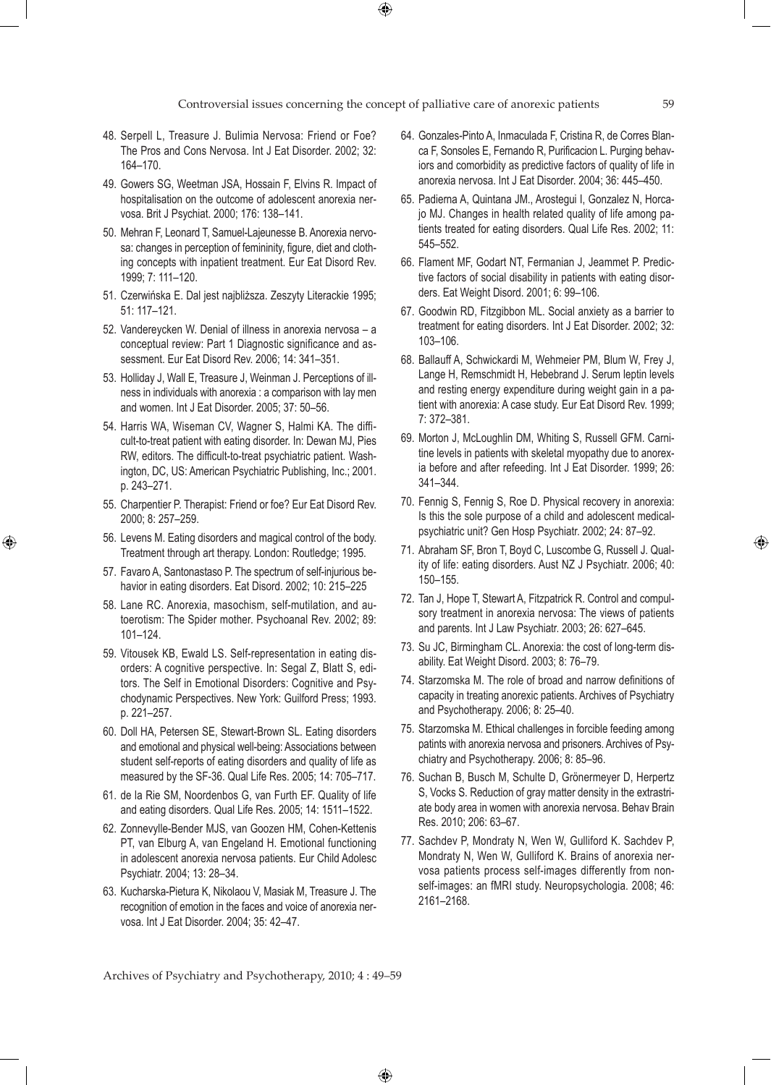$\bigoplus$ 

- 48. Serpell L, Treasure J. Bulimia Nervosa: Friend or Foe? The Pros and Cons Nervosa. Int J Eat Disorder. 2002; 32: 164–170.
- 49. Gowers SG, Weetman JSA, Hossain F, Elvins R. Impact of hospitalisation on the outcome of adolescent anorexia nervosa. Brit J Psychiat. 2000; 176: 138–141.
- 50. Mehran F, Leonard T, Samuel-Lajeunesse B. Anorexia nervosa: changes in perception of femininity, figure, diet and clothing concepts with inpatient treatment. Eur Eat Disord Rev. 1999; 7: 111–120.
- 51. Czerwińska E. Dal jest najbliższa. Zeszyty Literackie 1995; 51: 117–121.
- 52. Vandereycken W. Denial of illness in anorexia nervosa a conceptual review: Part 1 Diagnostic significance and assessment. Eur Eat Disord Rev. 2006; 14: 341–351.
- 53. Holliday J, Wall E, Treasure J, Weinman J. Perceptions of illness in individuals with anorexia : a comparison with lay men and women. Int J Eat Disorder. 2005; 37: 50–56.
- 54. Harris WA, Wiseman CV, Wagner S, Halmi KA. The difficult-to-treat patient with eating disorder. In: Dewan MJ, Pies RW, editors. The difficult-to-treat psychiatric patient. Washington, DC, US: American Psychiatric Publishing, Inc.; 2001. p. 243–271.
- 55. Charpentier P. Therapist: Friend or foe? Eur Eat Disord Rev. 2000; 8: 257–259.
- 56. Levens M. Eating disorders and magical control of the body. Treatment through art therapy. London: Routledge; 1995.

⊕

- 57. Favaro A, Santonastaso P. The spectrum of self-injurious behavior in eating disorders. Eat Disord. 2002; 10: 215–225
- 58. Lane RC. Anorexia, masochism, self-mutilation, and autoerotism: The Spider mother. Psychoanal Rev. 2002; 89: 101–124.
- 59. Vitousek KB, Ewald LS. Self-representation in eating disorders: A cognitive perspective. In: Segal Z, Blatt S, editors. The Self in Emotional Disorders: Cognitive and Psychodynamic Perspectives. New York: Guilford Press; 1993. p. 221–257.
- 60. Doll HA, Petersen SE, Stewart-Brown SL. Eating disorders and emotional and physical well-being: Associations between student self-reports of eating disorders and quality of life as measured by the SF-36. Qual Life Res. 2005; 14: 705–717.
- 61. de la Rie SM, Noordenbos G, van Furth EF. Quality of life and eating disorders. Qual Life Res. 2005; 14: 1511–1522.
- 62. Zonnevylle-Bender MJS, van Goozen HM, Cohen-Kettenis PT, van Elburg A, van Engeland H. Emotional functioning in adolescent anorexia nervosa patients. Eur Child Adolesc Psychiatr. 2004; 13: 28–34.
- 63. Kucharska-Pietura K, Nikolaou V, Masiak M, Treasure J. The recognition of emotion in the faces and voice of anorexia nervosa. Int J Eat Disorder. 2004; 35: 42–47.
- 64. Gonzales-Pinto A, Inmaculada F, Cristina R, de Corres Blanca F, Sonsoles E, Fernando R, Purificacion L. Purging behaviors and comorbidity as predictive factors of quality of life in anorexia nervosa. Int J Eat Disorder. 2004; 36: 445–450.
- 65. Padierna A, Quintana JM., Arostegui I, Gonzalez N, Horcajo MJ. Changes in health related quality of life among patients treated for eating disorders. Qual Life Res. 2002; 11: 545–552.
- 66. Flament MF, Godart NT, Fermanian J, Jeammet P. Predictive factors of social disability in patients with eating disorders. Eat Weight Disord. 2001; 6: 99–106.
- 67. Goodwin RD, Fitzgibbon ML. Social anxiety as a barrier to treatment for eating disorders. Int J Eat Disorder. 2002; 32: 103–106.
- 68. Ballauff A, Schwickardi M, Wehmeier PM, Blum W, Frey J, Lange H, Remschmidt H, Hebebrand J. Serum leptin levels and resting energy expenditure during weight gain in a patient with anorexia: A case study. Eur Eat Disord Rev. 1999; 7: 372–381.
- 69. Morton J, McLoughlin DM, Whiting S, Russell GFM. Carnitine levels in patients with skeletal myopathy due to anorexia before and after refeeding. Int J Eat Disorder. 1999; 26: 341–344.
- 70. Fennig S, Fennig S, Roe D. Physical recovery in anorexia: Is this the sole purpose of a child and adolescent medicalpsychiatric unit? Gen Hosp Psychiatr. 2002; 24: 87–92.
- 71. Abraham SF, Bron T, Boyd C, Luscombe G, Russell J. Quality of life: eating disorders. Aust NZ J Psychiatr. 2006; 40: 150–155.
- 72. Tan J, Hope T, Stewart A, Fitzpatrick R. Control and compulsory treatment in anorexia nervosa: The views of patients and parents. Int J Law Psychiatr. 2003; 26: 627–645.
- 73. Su JC, Birmingham CL. Anorexia: the cost of long-term disability. Eat Weight Disord. 2003; 8: 76–79.
- 74. Starzomska M. The role of broad and narrow definitions of capacity in treating anorexic patients. Archives of Psychiatry and Psychotherapy. 2006; 8: 25–40.
- 75. Starzomska M. Ethical challenges in forcible feeding among patints with anorexia nervosa and prisoners. Archives of Psychiatry and Psychotherapy. 2006; 8: 85–96.
- 76. Suchan B, Busch M, Schulte D, Grönermeyer D, Herpertz S, Vocks S. Reduction of gray matter density in the extrastriate body area in women with anorexia nervosa. Behav Brain Res. 2010; 206: 63–67.
- 77. Sachdev P, Mondraty N, Wen W, Gulliford K. Sachdev P, Mondraty N, Wen W, Gulliford K. Brains of anorexia nervosa patients process self-images differently from nonself-images: an fMRI study. Neuropsychologia. 2008; 46: 2161–2168.

Archives of Psychiatry and Psychotherapy, 2010; 4 : 49–59

 $\bigoplus$